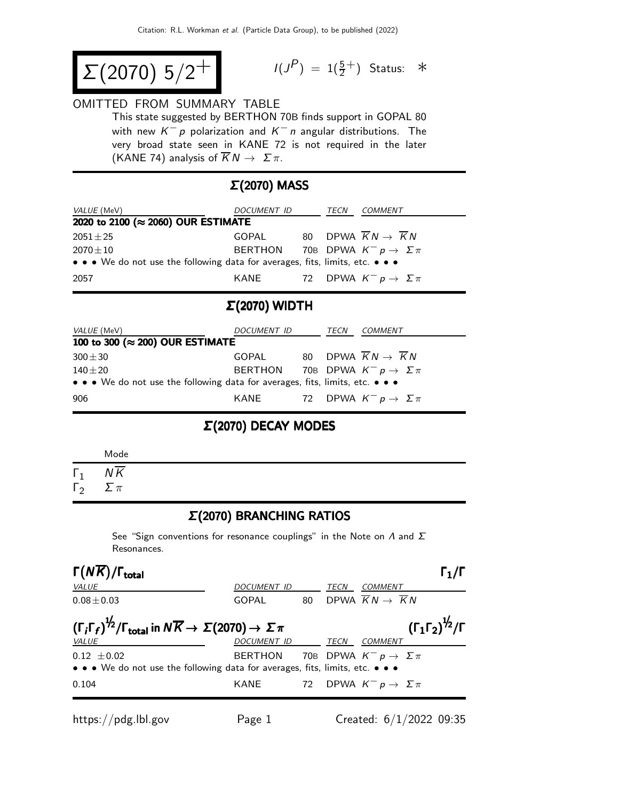$$
\Sigma(2070) 5/2^+
$$

$$
I(J^P) = 1(\frac{5}{2}^+) \quad \text{Status:} \quad *
$$

#### OMITTED FROM SUMMARY TABLE

This state suggested by BERTHON 70B finds support in GOPAL 80 with new  $K^- p$  polarization and  $K^- n$  angular distributions. The very broad state seen in KANE 72 is not required in the later (KANE 74) analysis of  $\overline{K}N \to \Sigma \pi$ .

## Σ(2070) MASS

| <i>VALUE</i> (MeV)                                                            | DOCUMENT ID                                     |  | TECN | COMMENT                                           |  |
|-------------------------------------------------------------------------------|-------------------------------------------------|--|------|---------------------------------------------------|--|
| 2020 to 2100 (≈ 2060) OUR ESTIMATE                                            |                                                 |  |      |                                                   |  |
| $2051 \pm 25$                                                                 | GOPAL                                           |  |      | 80 DPWA $\overline{K}N \rightarrow \overline{K}N$ |  |
| $2070 \pm 10$                                                                 | BERTHON 70B DPWA $K^- p \rightarrow \Sigma \pi$ |  |      |                                                   |  |
| • • • We do not use the following data for averages, fits, limits, etc. • • • |                                                 |  |      |                                                   |  |
| 2057                                                                          | KANE                                            |  |      | 72 DPWA $K^- p \to \Sigma \pi$                    |  |

### Σ(2070) WIDTH

| <i>VALUE</i> (MeV)                                                            | DOCUMENT ID                                     |  | TECN | <i>COMMENT</i>                 |  |
|-------------------------------------------------------------------------------|-------------------------------------------------|--|------|--------------------------------|--|
| 100 to 300 ( $\approx$ 200) OUR ESTIMATE                                      |                                                 |  |      |                                |  |
| $300 \pm 30$                                                                  | GOPAL                                           |  |      | 80 DPWA $KN \rightarrow KN$    |  |
| $140\pm20$                                                                    | BERTHON 70B DPWA $K^- p \rightarrow \Sigma \pi$ |  |      |                                |  |
| • • • We do not use the following data for averages, fits, limits, etc. • • • |                                                 |  |      |                                |  |
| 906                                                                           | KANE                                            |  |      | 72 DPWA $K^- p \to \Sigma \pi$ |  |

### Σ(2070) DECAY MODES

| Mode       |  |
|------------|--|
| ΝK         |  |
| $\sum \pi$ |  |

#### Σ(2070) BRANCHING RATIOS

See "Sign conventions for resonance couplings" in the Note on  $\Lambda$  and  $\Sigma$ Resonances.

| $\Gamma(N\overline{K})/\Gamma_{\rm total}$                                                                                       |                                                        |    |      |                                                |                                                |
|----------------------------------------------------------------------------------------------------------------------------------|--------------------------------------------------------|----|------|------------------------------------------------|------------------------------------------------|
| <i>VALUE</i>                                                                                                                     | DOCUMENT ID                                            |    | TECN | COMMENT                                        |                                                |
| $0.08 \pm 0.03$                                                                                                                  | GOPAL                                                  | 80 |      | DPWA $\overline{K}N \rightarrow \overline{K}N$ |                                                |
| $(\Gamma_i \Gamma_f)^{\frac{1}{2}} / \Gamma_{\text{total}}$ in $N \overline{K} \rightarrow \Sigma (2070) \rightarrow \Sigma \pi$ |                                                        |    |      |                                                | $(\Gamma_1 \Gamma_2)^{\frac{1}{2}}$ / $\Gamma$ |
| <b>VALUE</b><br>$0.12 \pm 0.02$<br>• • • We do not use the following data for averages, fits, limits, etc. • • •                 | DOCUMENT ID<br>BERTHON 70B DPWA $K^- p \to \Sigma \pi$ |    | TECN | <i>COMMENT</i>                                 |                                                |
| 0.104                                                                                                                            | KANE                                                   |    |      | 72 DPWA $K^- p \rightarrow \Sigma \pi$         |                                                |